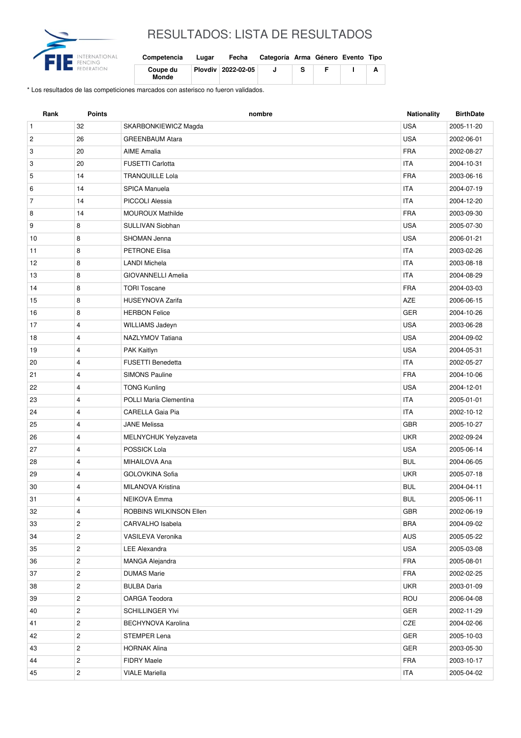

## RESULTADOS: LISTA DE RESULTADOS

| Competencia       | Lugar | Fecha              | Categoría Arma Género Evento Tipo |  |  |
|-------------------|-------|--------------------|-----------------------------------|--|--|
| Coupe du<br>Monde |       | Plovdiv 2022-02-05 |                                   |  |  |

\* Los resultados de las competiciones marcados con asterisco no fueron validados.

| Rank           | <b>Points</b>           | nombre                    | Nationality | <b>BirthDate</b> |
|----------------|-------------------------|---------------------------|-------------|------------------|
| $\mathbf{1}$   | 32                      | SKARBONKIEWICZ Magda      | <b>USA</b>  | 2005-11-20       |
| $\overline{c}$ | 26                      | <b>GREENBAUM Atara</b>    | <b>USA</b>  | 2002-06-01       |
| 3              | 20                      | <b>AIME Amalia</b>        | <b>FRA</b>  | 2002-08-27       |
| 3              | 20                      | <b>FUSETTI Carlotta</b>   | <b>ITA</b>  | 2004-10-31       |
| 5              | 14                      | <b>TRANQUILLE Lola</b>    | <b>FRA</b>  | 2003-06-16       |
| 6              | 14                      | SPICA Manuela             | <b>ITA</b>  | 2004-07-19       |
| $\overline{7}$ | 14                      | PICCOLI Alessia           | <b>ITA</b>  | 2004-12-20       |
| 8              | 14                      | <b>MOUROUX Mathilde</b>   | <b>FRA</b>  | 2003-09-30       |
| 9              | 8                       | SULLIVAN Siobhan          | <b>USA</b>  | 2005-07-30       |
| 10             | 8                       | <b>SHOMAN Jenna</b>       | <b>USA</b>  | 2006-01-21       |
| 11             | 8                       | <b>PETRONE Elisa</b>      | <b>ITA</b>  | 2003-02-26       |
| 12             | 8                       | <b>LANDI Michela</b>      | <b>ITA</b>  | 2003-08-18       |
| 13             | 8                       | <b>GIOVANNELLI Amelia</b> | <b>ITA</b>  | 2004-08-29       |
| 14             | 8                       | <b>TORI Toscane</b>       | <b>FRA</b>  | 2004-03-03       |
| 15             | 8                       | <b>HUSEYNOVA Zarifa</b>   | AZE         | 2006-06-15       |
| 16             | 8                       | <b>HERBON Felice</b>      | GER         | 2004-10-26       |
| 17             | $\overline{4}$          | WILLIAMS Jadeyn           | <b>USA</b>  | 2003-06-28       |
| 18             | $\overline{4}$          | NAZLYMOV Tatiana          | <b>USA</b>  | 2004-09-02       |
| 19             | $\overline{4}$          | PAK Kaitlyn               | <b>USA</b>  | 2004-05-31       |
| 20             | 4                       | <b>FUSETTI Benedetta</b>  | <b>ITA</b>  | 2002-05-27       |
| 21             | 4                       | <b>SIMONS Pauline</b>     | <b>FRA</b>  | 2004-10-06       |
| 22             | 4                       | <b>TONG Kunling</b>       | <b>USA</b>  | 2004-12-01       |
| 23             | $\overline{4}$          | POLLI Maria Clementina    | <b>ITA</b>  | 2005-01-01       |
| 24             | 4                       | <b>CARELLA Gaia Pia</b>   | <b>ITA</b>  | 2002-10-12       |
| 25             | 4                       | <b>JANE Melissa</b>       | <b>GBR</b>  | 2005-10-27       |
| 26             | $\overline{4}$          | MELNYCHUK Yelyzaveta      | <b>UKR</b>  | 2002-09-24       |
| 27             | 4                       | POSSICK Lola              | <b>USA</b>  | 2005-06-14       |
| 28             | 4                       | MIHAILOVA Ana             | <b>BUL</b>  | 2004-06-05       |
| 29             | $\overline{4}$          | GOLOVKINA Sofia           | <b>UKR</b>  | 2005-07-18       |
| 30             | $\overline{4}$          | <b>MILANOVA Kristina</b>  | <b>BUL</b>  | 2004-04-11       |
| 31             | 4                       | NEIKOVA Emma              | <b>BUL</b>  | 2005-06-11       |
| 32             | 4                       | ROBBINS WILKINSON Ellen   | GBR         | 2002-06-19       |
| 33             | $\overline{c}$          | CARVALHO Isabela          | <b>BRA</b>  | 2004-09-02       |
| 34             | $\overline{c}$          | VASILEVA Veronika         | AUS         | 2005-05-22       |
| 35             | $\overline{c}$          | <b>LEE Alexandra</b>      | <b>USA</b>  | 2005-03-08       |
| 36             | $\overline{c}$          | MANGA Alejandra           | <b>FRA</b>  | 2005-08-01       |
| 37             | $\overline{c}$          | <b>DUMAS Marie</b>        | <b>FRA</b>  | 2002-02-25       |
| 38             | $\overline{c}$          | <b>BULBA Daria</b>        | <b>UKR</b>  | 2003-01-09       |
| 39             | $\overline{c}$          | OARGA Teodora             | ROU         | 2006-04-08       |
| 40             | $\overline{\mathbf{c}}$ | <b>SCHILLINGER YIvi</b>   | GER         | 2002-11-29       |
| 41             | $\overline{c}$          | <b>BECHYNOVA Karolina</b> | CZE         | 2004-02-06       |
| 42             | $\overline{c}$          | <b>STEMPER Lena</b>       | GER         | 2005-10-03       |
| 43             | $\overline{c}$          | <b>HORNAK Alina</b>       | GER         | 2003-05-30       |
| 44             | $\overline{c}$          | <b>FIDRY Maele</b>        | FRA         | 2003-10-17       |
| 45             | $\overline{\mathbf{c}}$ | VIALE Mariella            | ITA         | 2005-04-02       |